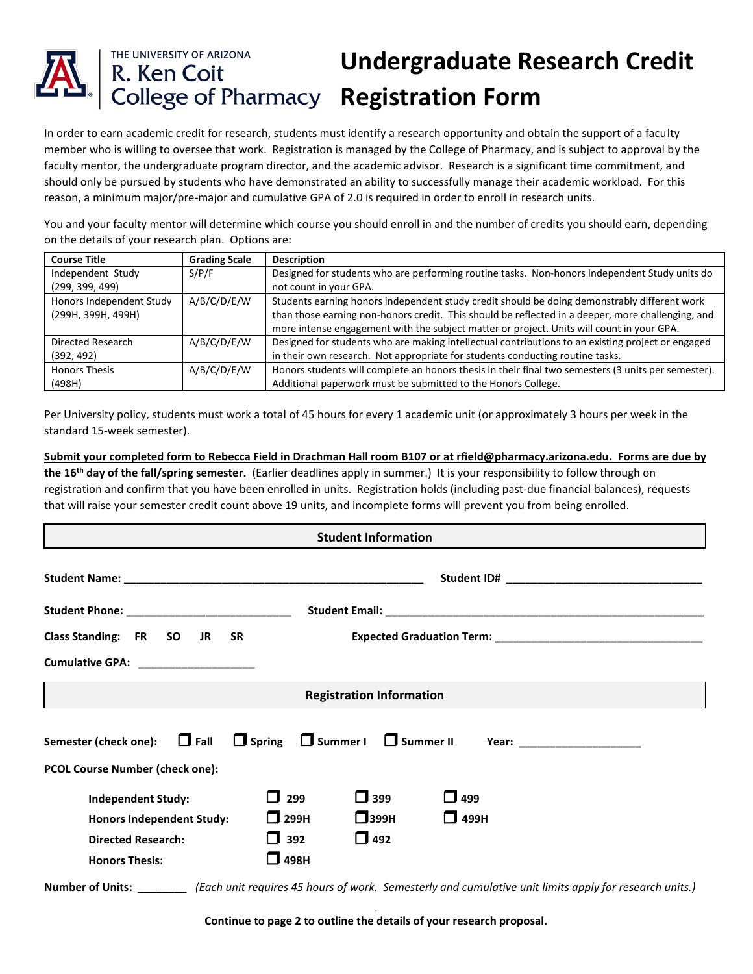## THE UNIVERSITY OF ARIZONA **Undergraduate Research Credit**  R. Ken Coit<br>College of Pharmacy Registration Form

In order to earn academic credit for research, students must identify a research opportunity and obtain the support of a faculty member who is willing to oversee that work. Registration is managed by the College of Pharmacy, and is subject to approval by the faculty mentor, the undergraduate program director, and the academic advisor. Research is a significant time commitment, and should only be pursued by students who have demonstrated an ability to successfully manage their academic workload. For this reason, a minimum major/pre-major and cumulative GPA of 2.0 is required in order to enroll in research units.

You and your faculty mentor will determine which course you should enroll in and the number of credits you should earn, depending on the details of your research plan. Options are:

| <b>Course Title</b>      | <b>Grading Scale</b> | <b>Description</b>                                                                                  |  |
|--------------------------|----------------------|-----------------------------------------------------------------------------------------------------|--|
| Independent Study        | S/P/F                | Designed for students who are performing routine tasks. Non-honors Independent Study units do       |  |
| (299, 399, 499)          |                      | not count in your GPA.                                                                              |  |
| Honors Independent Study | A/B/C/D/E/W          | Students earning honors independent study credit should be doing demonstrably different work        |  |
| (299H, 399H, 499H)       |                      | than those earning non-honors credit. This should be reflected in a deeper, more challenging, and   |  |
|                          |                      | more intense engagement with the subject matter or project. Units will count in your GPA.           |  |
| Directed Research        | A/B/C/D/E/W          | Designed for students who are making intellectual contributions to an existing project or engaged   |  |
| (392, 492)               |                      | in their own research. Not appropriate for students conducting routine tasks.                       |  |
| <b>Honors Thesis</b>     | A/B/C/D/E/W          | Honors students will complete an honors thesis in their final two semesters (3 units per semester). |  |
| (498H)                   |                      | Additional paperwork must be submitted to the Honors College.                                       |  |

Per University policy, students must work a total of 45 hours for every 1 academic unit (or approximately 3 hours per week in the standard 15-week semester).

**Submit your completed form to Rebecca Field in Drachman Hall room B107 or at rfield@pharmacy.arizona.edu. Forms are due by the 16th day of the fall/spring semester.** (Earlier deadlines apply in summer.) It is your responsibility to follow through on registration and confirm that you have been enrolled in units. Registration holds (including past-due financial balances), requests that will raise your semester credit count above 19 units, and incomplete forms will prevent you from being enrolled.

| <b>Student Information</b>                                                                                                 |  |  |  |  |  |  |
|----------------------------------------------------------------------------------------------------------------------------|--|--|--|--|--|--|
|                                                                                                                            |  |  |  |  |  |  |
| Student Phone: ______________________________                                                                              |  |  |  |  |  |  |
| Class Standing: FR SO JR SR                                                                                                |  |  |  |  |  |  |
| Cumulative GPA: ___________________                                                                                        |  |  |  |  |  |  |
| <b>Registration Information</b>                                                                                            |  |  |  |  |  |  |
| Semester (check one): $\Box$ Fall $\Box$ Spring $\Box$ Summer I $\Box$ Summer II<br><b>PCOL Course Number (check one):</b> |  |  |  |  |  |  |
| $\Box$ 399<br>299<br>$\overline{1}$ 499<br><b>Independent Study:</b>                                                       |  |  |  |  |  |  |
| $\Box$ 399H<br>$\Box$ 299H<br>$\Box$ 499H<br><b>Honors Independent Study:</b>                                              |  |  |  |  |  |  |
| $\Box$ 492<br>$\Box$ 392<br><b>Directed Research:</b>                                                                      |  |  |  |  |  |  |
| $\Box$ 498H<br><b>Honors Thesis:</b>                                                                                       |  |  |  |  |  |  |

**Number of Units: \_\_\_\_\_\_\_\_** *(Each unit requires 45 hours of work. Semesterly and cumulative unit limits apply for research units.)*

*.* **Continue to page 2 to outline the details of your research proposal.**